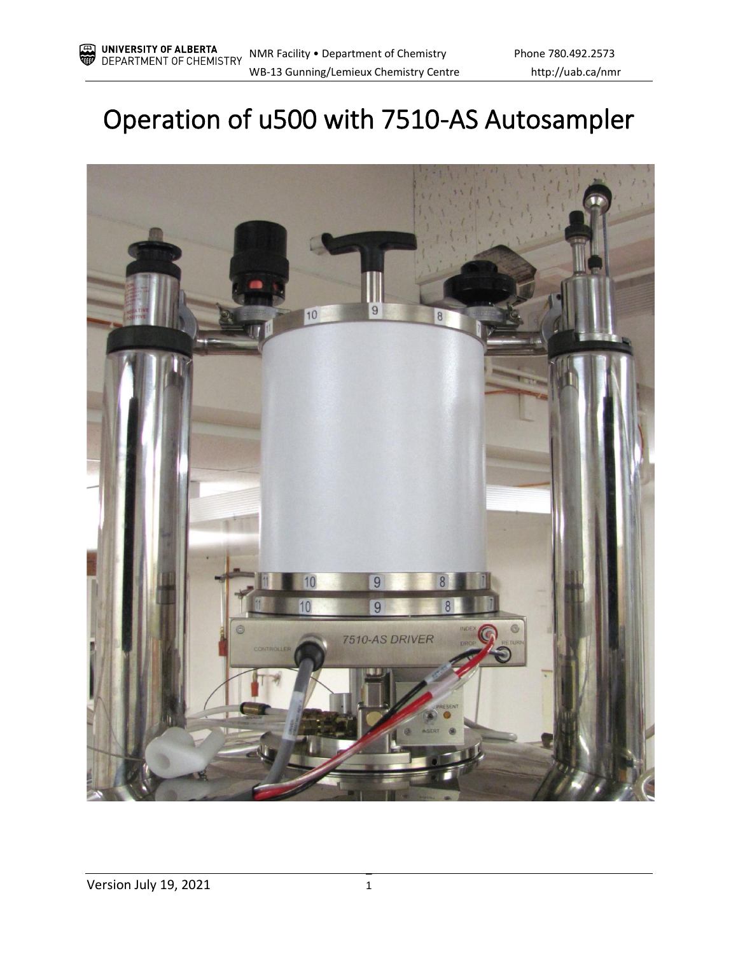# Operation of u500 with 7510-AS Autosampler

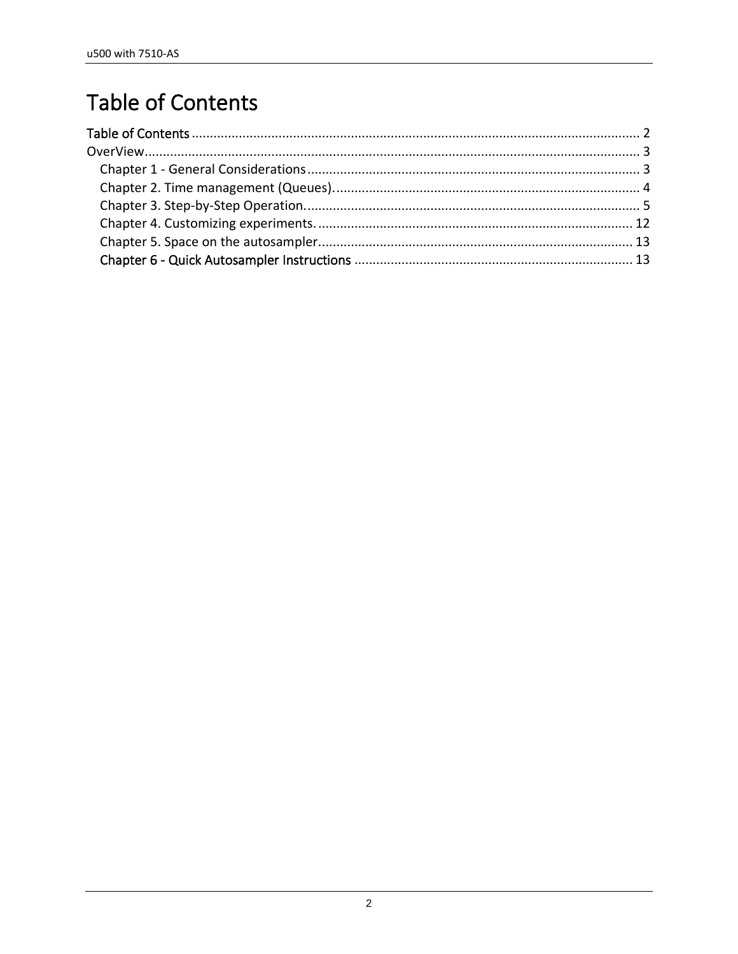## <span id="page-1-0"></span>**Table of Contents**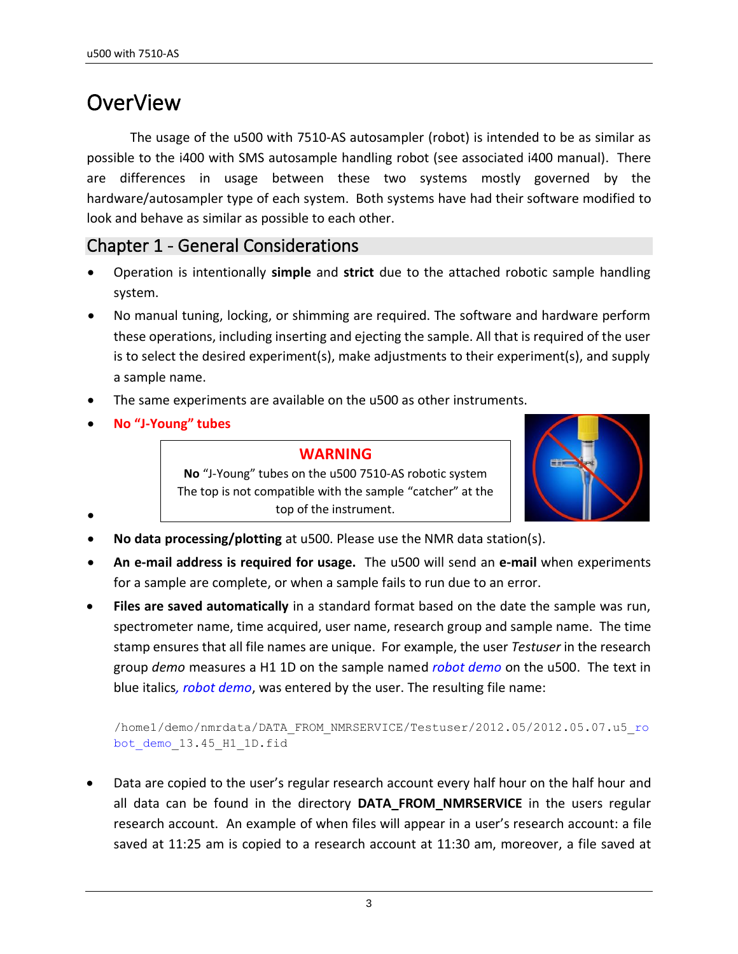## <span id="page-2-0"></span>OverView

The usage of the u500 with 7510-AS autosampler (robot) is intended to be as similar as possible to the i400 with SMS autosample handling robot (see associated i400 manual). There are differences in usage between these two systems mostly governed by the hardware/autosampler type of each system. Both systems have had their software modified to look and behave as similar as possible to each other.

### <span id="page-2-1"></span>Chapter 1 - General Considerations

- Operation is intentionally **simple** and **strict** due to the attached robotic sample handling system.
- No manual tuning, locking, or shimming are required. The software and hardware perform these operations, including inserting and ejecting the sample. All that is required of the user is to select the desired experiment(s), make adjustments to their experiment(s), and supply a sample name.
- The same experiments are available on the u500 as other instruments.
- **No "J-Young" tubes**

•

#### **WARNING**

**No** "J-Young" tubes on the u500 7510-AS robotic system The top is not compatible with the sample "catcher" at the top of the instrument.



- **No data processing/plotting** at u500. Please use the NMR data station(s).
- **An e-mail address is required for usage.** The u500 will send an **e-mail** when experiments for a sample are complete, or when a sample fails to run due to an error.
- **Files are saved automatically** in a standard format based on the date the sample was run, spectrometer name, time acquired, user name, research group and sample name. The time stamp ensures that all file names are unique. For example, the user *Testuser* in the research group *demo* measures a H1 1D on the sample named *robot demo* on the u500. The text in blue italics*, robot demo*, was entered by the user. The resulting file name:

/home1/demo/nmrdata/DATA\_FROM\_NMRSERVICE/Testuser/2012.05/2012.05.07.u5\_ro bot demo 13.45 H1 1D.fid

• Data are copied to the user's regular research account every half hour on the half hour and all data can be found in the directory **DATA FROM NMRSERVICE** in the users regular research account. An example of when files will appear in a user's research account: a file saved at 11:25 am is copied to a research account at 11:30 am, moreover, a file saved at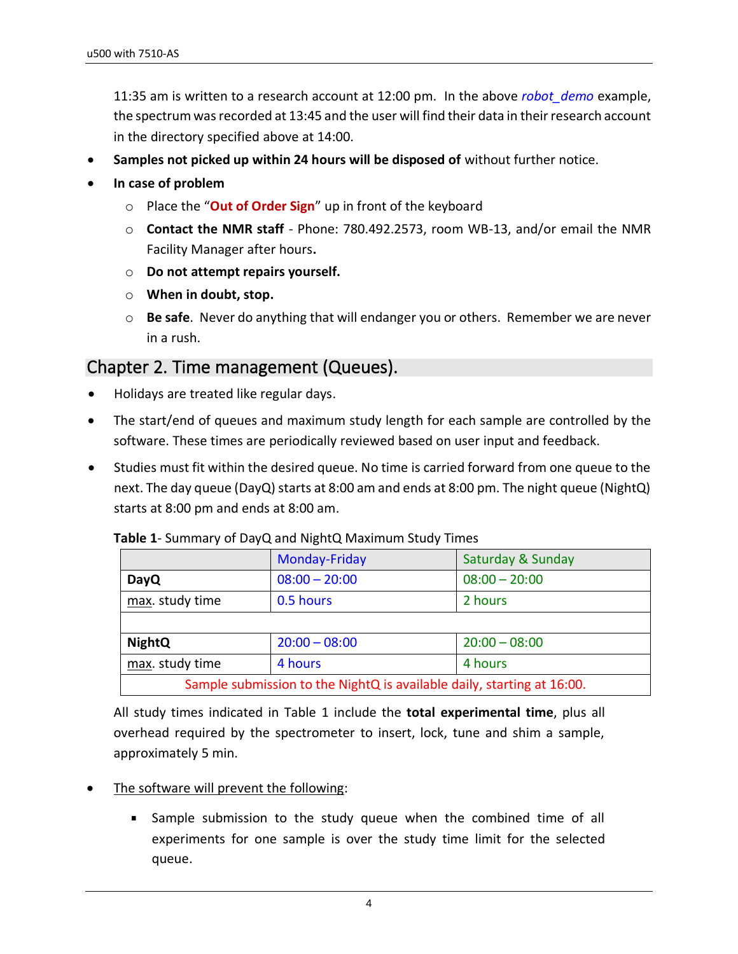11:35 am is written to a research account at 12:00 pm. In the above *robot\_demo* example, the spectrum was recorded at 13:45 and the user will find their data in their research account in the directory specified above at 14:00.

- **Samples not picked up within 24 hours will be disposed of** without further notice.
- **In case of problem**
	- o Place the "**Out of Order Sign**" up in front of the keyboard
	- o **Contact the NMR staff**  Phone: 780.492.2573, room WB-13, and/or email the NMR Facility Manager after hours**.**
	- o **Do not attempt repairs yourself.**
	- o **When in doubt, stop.**
	- o **Be safe**. Never do anything that will endanger you or others. Remember we are never in a rush.

#### <span id="page-3-0"></span>Chapter 2. Time management (Queues).

- Holidays are treated like regular days.
- The start/end of queues and maximum study length for each sample are controlled by the software. These times are periodically reviewed based on user input and feedback.
- Studies must fit within the desired queue. No time is carried forward from one queue to the next. The day queue (DayQ) starts at 8:00 am and ends at 8:00 pm. The night queue (NightQ) starts at 8:00 pm and ends at 8:00 am.

|                                                                        | Monday-Friday   | Saturday & Sunday |  |  |  |  |
|------------------------------------------------------------------------|-----------------|-------------------|--|--|--|--|
| <b>DayQ</b>                                                            | $08:00 - 20:00$ | $08:00 - 20:00$   |  |  |  |  |
| max. study time<br>2 hours<br>0.5 hours                                |                 |                   |  |  |  |  |
|                                                                        |                 |                   |  |  |  |  |
| <b>NightQ</b>                                                          | $20:00 - 08:00$ | $20:00 - 08:00$   |  |  |  |  |
| max. study time<br>4 hours<br>4 hours                                  |                 |                   |  |  |  |  |
| Sample submission to the NightQ is available daily, starting at 16:00. |                 |                   |  |  |  |  |

| Table 1- Summary of DayQ and NightQ Maximum Study Times |  |  |  |  |  |
|---------------------------------------------------------|--|--|--|--|--|
|---------------------------------------------------------|--|--|--|--|--|

All study times indicated in Table 1 include the **total experimental time**, plus all overhead required by the spectrometer to insert, lock, tune and shim a sample, approximately 5 min.

- The software will prevent the following:
	- Sample submission to the study queue when the combined time of all experiments for one sample is over the study time limit for the selected queue.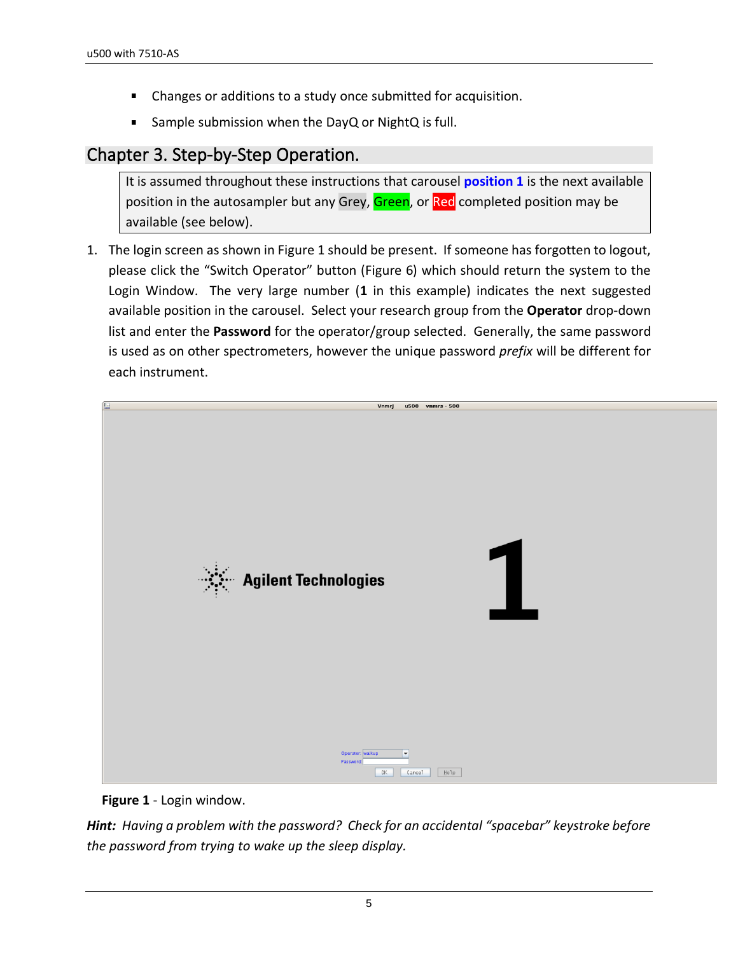- Changes or additions to a study once submitted for acquisition.  $\blacksquare$
- Sample submission when the DayQ or NightQ is full.  $\blacksquare$

## <span id="page-4-0"></span>Chapter 3. Step-by-Step Operation.

It is assumed throughout these instructions that carousel **position 1** is the next available position in the autosampler but any Grey, Green, or Red completed position may be available (see below).

1. The login screen as shown in Figure 1 should be present. If someone has forgotten to logout, please click the "Switch Operator" button (Figure 6) which should return the system to the Login Window. The very large number (**1** in this example) indicates the next suggested available position in the carousel. Select your research group from the **Operator** drop-down list and enter the **Password** for the operator/group selected. Generally, the same password is used as on other spectrometers, however the unique password *prefix* will be different for each instrument.



**Figure 1** - Login window.

*Hint: Having a problem with the password? Check for an accidental "spacebar" keystroke before the password from trying to wake up the sleep display.*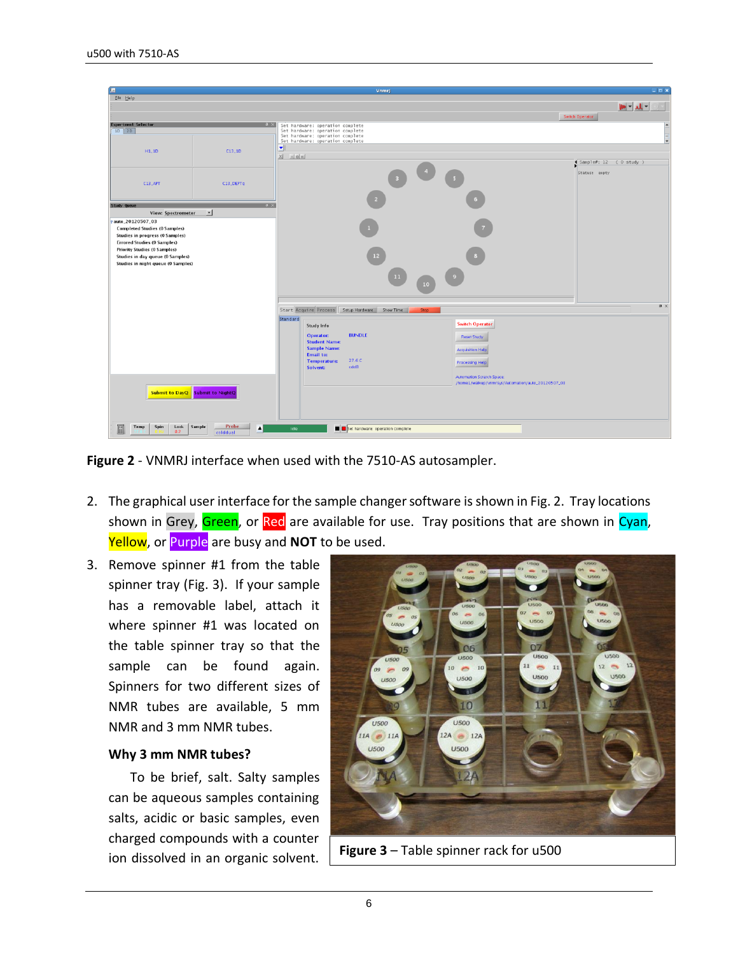|                                                                       |                                                 | Vnmrj                                                                |                                                                                       | $\Box$ o $\mathbf{x}$           |
|-----------------------------------------------------------------------|-------------------------------------------------|----------------------------------------------------------------------|---------------------------------------------------------------------------------------|---------------------------------|
| Eile Help                                                             |                                                 |                                                                      |                                                                                       |                                 |
|                                                                       |                                                 |                                                                      |                                                                                       | $-11 - 40$                      |
|                                                                       |                                                 |                                                                      |                                                                                       | Switch Operator                 |
| <b>Experiment Selector</b><br>$1D$ 2D                                 | $\sqrt{a}$ $\times$                             | Set hardware: operation complete<br>Set hardware: operation complete |                                                                                       |                                 |
|                                                                       |                                                 | Set hardware: operation complete<br>Set hardware: operation complete |                                                                                       |                                 |
| H1.1D                                                                 | C13.1D                                          | $\vert \mathbf{v} \vert \vert$                                       |                                                                                       |                                 |
|                                                                       |                                                 | $\mathbb{Z}$ $\mathbb{Z}$ $\mathbb{Z}$                               |                                                                                       |                                 |
|                                                                       |                                                 |                                                                      |                                                                                       | $Sanple\ell$ : 12 ( $O$ study ) |
|                                                                       |                                                 |                                                                      |                                                                                       | Status: enpty                   |
| C13,APT                                                               | C13_DEPTq                                       |                                                                      |                                                                                       |                                 |
|                                                                       |                                                 |                                                                      |                                                                                       |                                 |
| Study Queue                                                           | $\mathbf{u} \times$                             |                                                                      |                                                                                       |                                 |
| View: Spectrometer                                                    | $\vert \cdot \vert$                             |                                                                      |                                                                                       |                                 |
| auto_20120507_03                                                      |                                                 |                                                                      |                                                                                       |                                 |
| <b>Completed Studies (0 Samples)</b>                                  |                                                 |                                                                      |                                                                                       |                                 |
| Studies in progress (0 Samples)<br><b>Errored Studies (0 Samples)</b> |                                                 |                                                                      |                                                                                       |                                 |
| <b>Priority Studies (0 Samples)</b>                                   |                                                 |                                                                      |                                                                                       |                                 |
| Studies in day queue (0 Samples)                                      |                                                 | 12 <sup>2</sup>                                                      |                                                                                       |                                 |
| Studies in night queue (0 Samples)                                    |                                                 |                                                                      |                                                                                       |                                 |
|                                                                       |                                                 | 11                                                                   |                                                                                       |                                 |
|                                                                       |                                                 | 10                                                                   |                                                                                       |                                 |
|                                                                       |                                                 |                                                                      |                                                                                       |                                 |
|                                                                       |                                                 | Start Acquire Process Setup Hardware<br>Show Time<br><b>Stop</b>     |                                                                                       | $x \times$                      |
|                                                                       |                                                 | Standard                                                             |                                                                                       |                                 |
|                                                                       |                                                 | <b>Study Info</b>                                                    | <b>Switch Operator</b>                                                                |                                 |
|                                                                       |                                                 | <b>BUNDLE</b><br>Operator:                                           | <b>Reset Study</b>                                                                    |                                 |
|                                                                       |                                                 | <b>Student Name:</b><br><b>Sample Name:</b>                          |                                                                                       |                                 |
|                                                                       |                                                 | <b>Email to:</b>                                                     | <b>Acquisition Help</b>                                                               |                                 |
|                                                                       |                                                 | 27.6 C<br><b>Temperature:</b><br>cdcl3                               | <b>Processing Help</b>                                                                |                                 |
|                                                                       |                                                 | Solvent:                                                             |                                                                                       |                                 |
|                                                                       |                                                 |                                                                      | <b>Automation Scratch Space:</b><br>/home1/walkup/vnmrsys/Automation/auto_20120507_03 |                                 |
|                                                                       | Submit to DayQ Submit to NightQ                 |                                                                      |                                                                                       |                                 |
|                                                                       |                                                 |                                                                      |                                                                                       |                                 |
|                                                                       |                                                 |                                                                      |                                                                                       |                                 |
|                                                                       |                                                 |                                                                      |                                                                                       |                                 |
| Lock<br>$\mathbb{R}$<br>Temp<br>Spin<br>0.2                           | Sample<br>Probe<br>$\blacktriangle$<br>colddual | Set hardware: operation complete<br>Idle                             |                                                                                       |                                 |

**Figure 2** - VNMRJ interface when used with the 7510-AS autosampler.

- 2. The graphical user interface for the sample changer software is shown in Fig. 2. Tray locations shown in Grey, Green, or Red are available for use. Tray positions that are shown in Cyan, Yellow, or Purple are busy and **NOT** to be used.
- 3. Remove spinner #1 from the table spinner tray (Fig. 3). If your sample has a removable label, attach it where spinner #1 was located on the table spinner tray so that the sample can be found again. Spinners for two different sizes of NMR tubes are available, 5 mm NMR and 3 mm NMR tubes.

#### **Why 3 mm NMR tubes?**

To be brief, salt. Salty samples can be aqueous samples containing salts, acidic or basic samples, even charged compounds with a counter ion dissolved in an organic solvent. **Figure 3** – Table spinner rack for u500

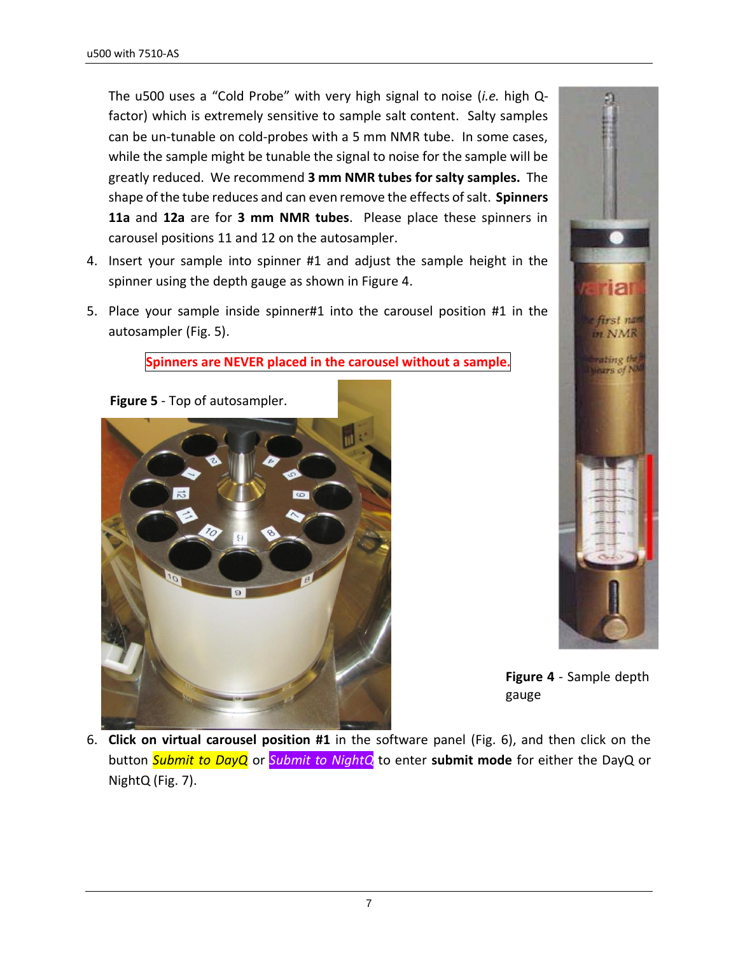The u500 uses a "Cold Probe" with very high signal to noise (*i.e.* high Qfactor) which is extremely sensitive to sample salt content. Salty samples can be un-tunable on cold-probes with a 5 mm NMR tube. In some cases, while the sample might be tunable the signal to noise for the sample will be greatly reduced. We recommend **3 mm NMR tubes for salty samples.** The shape of the tube reduces and can even remove the effects of salt. **Spinners 11a** and **12a** are for **3 mm NMR tubes**. Please place these spinners in carousel positions 11 and 12 on the autosampler.

- 4. Insert your sample into spinner #1 and adjust the sample height in the spinner using the depth gauge as shown in Figure 4.
- 5. Place your sample inside spinner#1 into the carousel position #1 in the autosampler (Fig. 5).

**Spinners are NEVER placed in the carousel without a sample.**





**Figure 4** - Sample depth gauge

6. **Click on virtual carousel position #1** in the software panel (Fig. 6), and then click on the button *Submit to DayQ* or *Submit to NightQ* to enter **submit mode** for either the DayQ or NightQ (Fig. 7).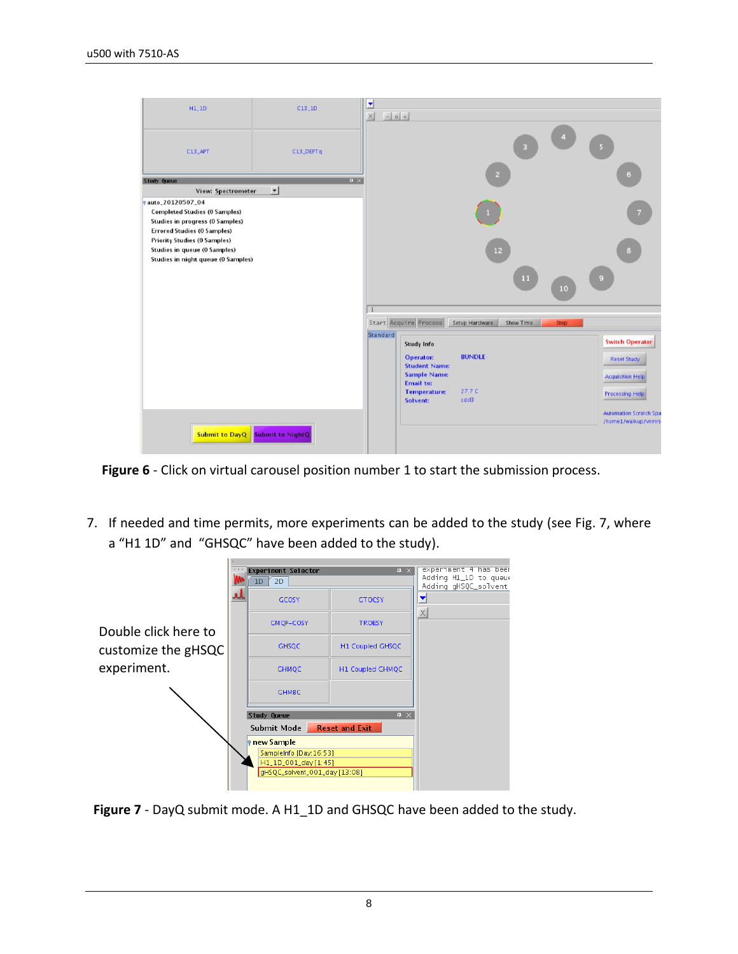| $H1_11D$                                                                                                                                   | $C13$ <sub>-1D</sub> | ۳<br>$\sim$ 0 +<br>$\times$ |                                                     |                             |             |                                                       |
|--------------------------------------------------------------------------------------------------------------------------------------------|----------------------|-----------------------------|-----------------------------------------------------|-----------------------------|-------------|-------------------------------------------------------|
| $C13$ APT                                                                                                                                  | C13_DEPTq            |                             |                                                     | ß.                          |             |                                                       |
| Study Queue                                                                                                                                | $\mathbf{u} \times$  |                             |                                                     |                             |             | G                                                     |
| <b>View: Spectrometer</b>                                                                                                                  | $\cdot$              |                             |                                                     |                             |             |                                                       |
| e auto_20120507_04<br><b>Completed Studies (0 Samples)</b><br><b>Studies in progress (0 Samples)</b><br><b>Errored Studies (0 Samples)</b> |                      |                             |                                                     |                             |             |                                                       |
| <b>Priority Studies (0 Samples)</b><br><b>Studies in queue (0 Samples)</b><br>Studies in night queue (0 Samples)                           |                      |                             |                                                     | 12                          |             | $\mathbf{a}$                                          |
|                                                                                                                                            |                      |                             |                                                     | hВ                          | 10          | $\Theta$                                              |
|                                                                                                                                            |                      |                             |                                                     |                             |             |                                                       |
|                                                                                                                                            |                      | Standard                    | Start Acquire Process                               | Setup Hardware<br>Show Time | <b>Stop</b> |                                                       |
|                                                                                                                                            |                      |                             | <b>Study Info</b>                                   |                             |             | <b>Switch Operator</b>                                |
|                                                                                                                                            |                      |                             | <b>Operator:</b><br><b>Student Name:</b>            | <b>BUNDLE</b>               |             | <b>Reset Study</b>                                    |
|                                                                                                                                            |                      |                             | <b>Sample Name:</b>                                 |                             |             | <b>Acquisition Help</b>                               |
|                                                                                                                                            |                      |                             | <b>Email to:</b><br><b>Temperature:</b><br>Solvent: | 27.7 C<br>cdcl3             |             | <b>Processing Help</b>                                |
|                                                                                                                                            |                      |                             |                                                     |                             |             | <b>Automation Scratch Spa</b><br>/home1/walkup/vnmrsv |
| Submit to DayQ Submit to NightQ                                                                                                            |                      |                             |                                                     |                             |             |                                                       |

**Figure 6** - Click on virtual carousel position number 1 to start the submission process.

7. If needed and time permits, more experiments can be added to the study (see Fig. 7, where a "H1 1D" and "GHSQC" have been added to the study).



**Figure 7** - DayQ submit mode. A H1\_1D and GHSQC have been added to the study.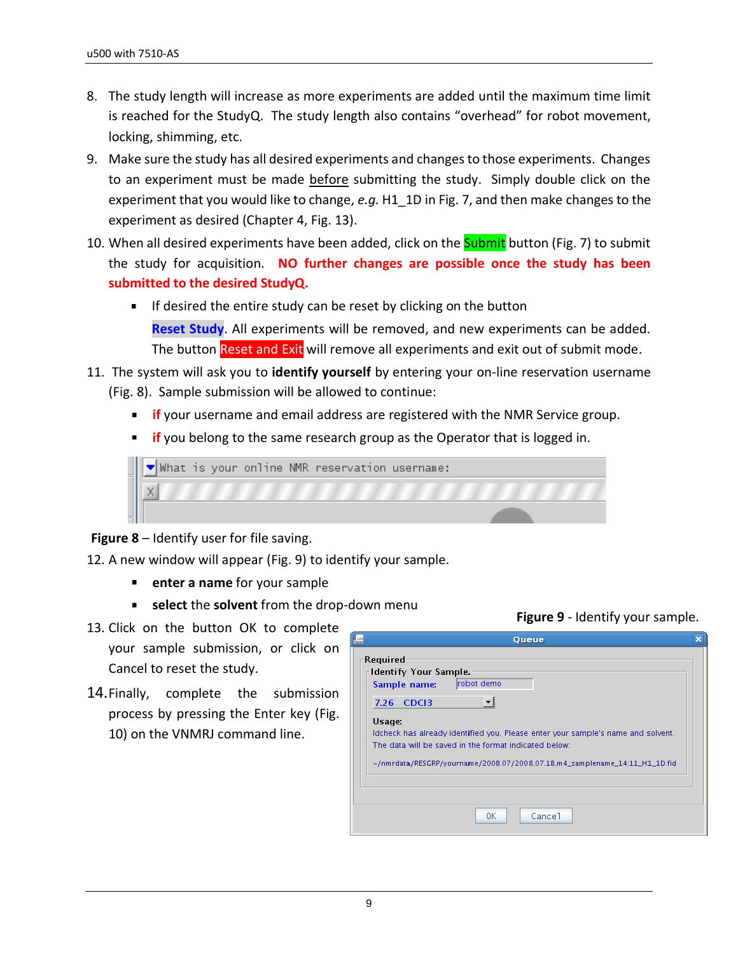- 8. The study length will increase as more experiments are added until the maximum time limit is reached for the StudyQ. The study length also contains "overhead" for robot movement, locking, shimming, etc.
- 9. Make sure the study has all desired experiments and changes to those experiments. Changes to an experiment must be made before submitting the study. Simply double click on the experiment that you would like to change, *e.g.* H1\_1D in Fig. 7, and then make changes to the experiment as desired (Chapter 4, Fig. 13).
- 10. When all desired experiments have been added, click on the **Submit** button (Fig. 7) to submit the study for acquisition. **NO further changes are possible once the study has been submitted to the desired StudyQ.**
	- $\blacksquare$  If desired the entire study can be reset by clicking on the button **Reset Study**. All experiments will be removed, and new experiments can be added. The button Reset and Exit will remove all experiments and exit out of submit mode.
- 11. The system will ask you to **identify yourself** by entering your on-line reservation username (Fig. 8). Sample submission will be allowed to continue:
	- **if** your username and email address are registered with the NMR Service group.
	- **if** you belong to the same research group as the Operator that is logged in.



**Figure 8** – Identify user for file saving.

- 12. A new window will appear (Fig. 9) to identify your sample.
	- **enter a name** for your sample
	- **select** the **solvent** from the drop-down menu
- 13. Click on the button OK to complete your sample submission, or click on Cancel to reset the study.
- 14.Finally, complete the submission process by pressing the Enter key (Fig. 10) on the VNMRJ command line.

|                                                          | Queue                                                                                                                                                                                                                         |  |
|----------------------------------------------------------|-------------------------------------------------------------------------------------------------------------------------------------------------------------------------------------------------------------------------------|--|
| <b>Required</b><br>Identify Your Sample.<br>Sample name: | Irobot demo                                                                                                                                                                                                                   |  |
| CDC <sub>13</sub><br>7.26                                | $\blacktriangledown$                                                                                                                                                                                                          |  |
| Usage:                                                   | Idcheck has already identified you. Please enter your sample's name and solvent.<br>The data will be saved in the format indicated below:<br>$\sim$ /nmrdata/RESGRP/yourname/2008.07/2008.07.18.m4_samplename_14:11_H1_1D.fid |  |
|                                                          |                                                                                                                                                                                                                               |  |
|                                                          | Cancel<br>0K                                                                                                                                                                                                                  |  |

**Figure 9** - Identify your sample.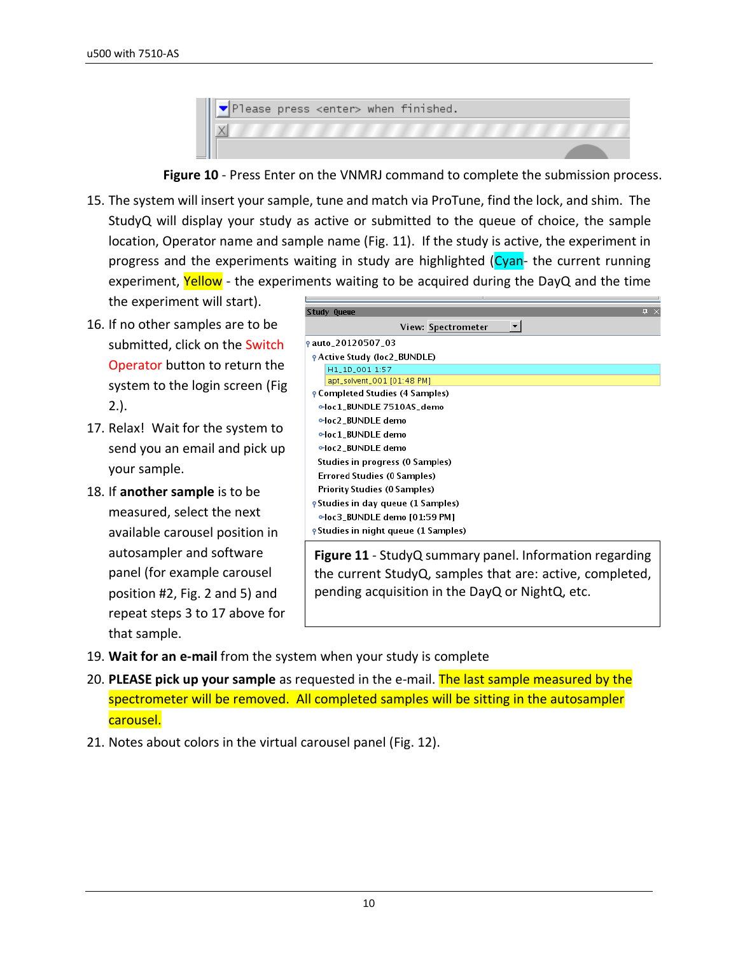|  |  | $\blacktriangledown$ Please press <enter> when finished.</enter> |  |
|--|--|------------------------------------------------------------------|--|
|  |  |                                                                  |  |
|  |  |                                                                  |  |

**Figure 10** - Press Enter on the VNMRJ command to complete the submission process.

15. The system will insert your sample, tune and match via ProTune, find the lock, and shim. The StudyQ will display your study as active or submitted to the queue of choice, the sample location, Operator name and sample name (Fig. 11). If the study is active, the experiment in progress and the experiments waiting in study are highlighted (Cyan- the current running experiment, Yellow - the experiments waiting to be acquired during the DayQ and the time

the experiment will start).

- 16. If no other samples are to be submitted, click on the Switch Operator button to return the system to the login screen (Fig 2.).
- 17. Relax! Wait for the system to send you an email and pick up your sample.
- 18. If **another sample** is to be measured, select the next available carousel position in autosampler and software panel (for example carousel position #2, Fig. 2 and 5) and repeat steps 3 to 17 above for that sample.

| щ<br>View: Spectrometer<br>▼∣<br><b>PActive Study (loc2_BUNDLE)</b><br>H1_1D_001 1:57<br>apt_solvent_001 [01:48 PM]<br><b>P</b> Completed Studies (4 Samples)<br>eloc1_BUNDLE 7510AS_demo<br>eloc2_BUNDLE demo<br>eloc1 BUNDLE demo<br>eloc2_BUNDLE demo<br>Studies in progress (0 Samples)<br>Errored Studies (0 Samples)<br>Priority Studies (0 Samples)<br><b>e</b> Studies in day queue (1 Samples)<br>eloc3_BUNDLE demo [01:59 PM]<br><b>e</b> Studies in night queue (1 Samples) |                           |
|----------------------------------------------------------------------------------------------------------------------------------------------------------------------------------------------------------------------------------------------------------------------------------------------------------------------------------------------------------------------------------------------------------------------------------------------------------------------------------------|---------------------------|
|                                                                                                                                                                                                                                                                                                                                                                                                                                                                                        | Study Queue               |
|                                                                                                                                                                                                                                                                                                                                                                                                                                                                                        |                           |
|                                                                                                                                                                                                                                                                                                                                                                                                                                                                                        | <b>9</b> auto_20120507_03 |
|                                                                                                                                                                                                                                                                                                                                                                                                                                                                                        |                           |
|                                                                                                                                                                                                                                                                                                                                                                                                                                                                                        |                           |
|                                                                                                                                                                                                                                                                                                                                                                                                                                                                                        |                           |
|                                                                                                                                                                                                                                                                                                                                                                                                                                                                                        |                           |
|                                                                                                                                                                                                                                                                                                                                                                                                                                                                                        |                           |
|                                                                                                                                                                                                                                                                                                                                                                                                                                                                                        |                           |
|                                                                                                                                                                                                                                                                                                                                                                                                                                                                                        |                           |
|                                                                                                                                                                                                                                                                                                                                                                                                                                                                                        |                           |
|                                                                                                                                                                                                                                                                                                                                                                                                                                                                                        |                           |
|                                                                                                                                                                                                                                                                                                                                                                                                                                                                                        |                           |
|                                                                                                                                                                                                                                                                                                                                                                                                                                                                                        |                           |
|                                                                                                                                                                                                                                                                                                                                                                                                                                                                                        |                           |
|                                                                                                                                                                                                                                                                                                                                                                                                                                                                                        |                           |
|                                                                                                                                                                                                                                                                                                                                                                                                                                                                                        |                           |
| ${\sf Figure 11}$ - ${\sf Stridv}\cap$ summary nanal Information regarding                                                                                                                                                                                                                                                                                                                                                                                                             |                           |

**e 11** - StudyQ summary panel. Information regarding the current StudyQ, samples that are: active, completed, pending acquisition in the DayQ or NightQ, etc.

- 19. **Wait for an e-mail** from the system when your study is complete
- 20. **PLEASE pick up your sample** as requested in the e-mail. The last sample measured by the spectrometer will be removed. All completed samples will be sitting in the autosampler carousel.
- 21. Notes about colors in the virtual carousel panel (Fig. 12).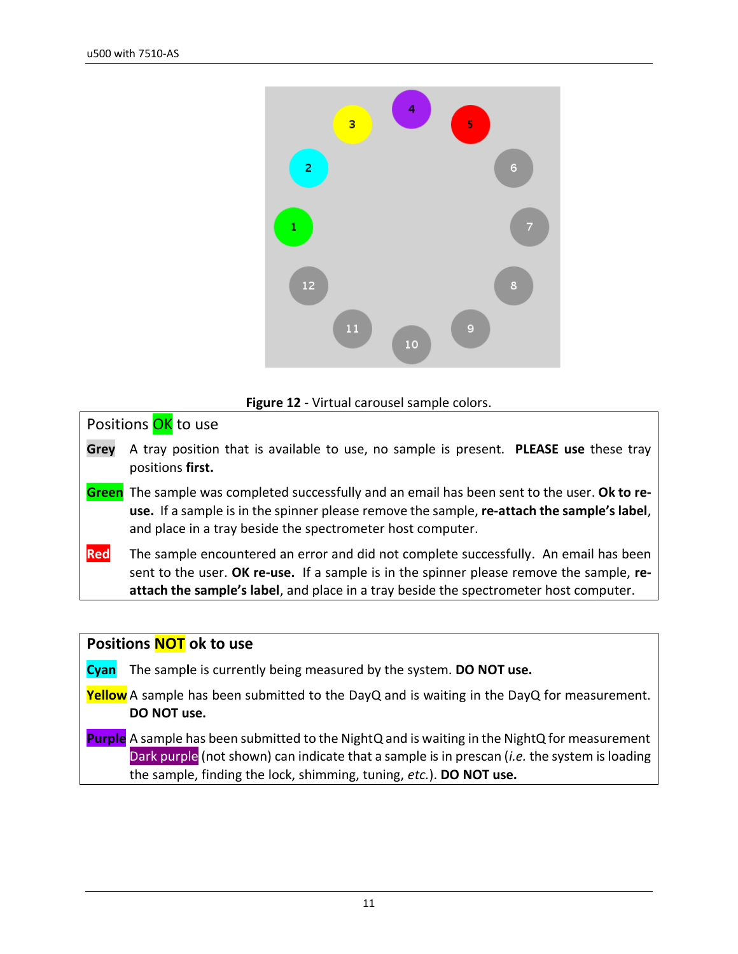

#### **Figure 12** - Virtual carousel sample colors.

Positions **OK** to use

- **Grey** A tray position that is available to use, no sample is present. **PLEASE use** these tray positions **first.**
- **Green** The sample was completed successfully and an email has been sent to the user. **Ok to reuse.** If a sample is in the spinner please remove the sample, **re-attach the sample's label**, and place in a tray beside the spectrometer host computer.
- **Red** The sample encountered an error and did not complete successfully. An email has been sent to the user. **OK re-use.** If a sample is in the spinner please remove the sample, **reattach the sample's label**, and place in a tray beside the spectrometer host computer.

#### **Positions NOT ok to use**

**Cyan** The samp**l**e is currently being measured by the system. **DO NOT use.**

- **Yellow** A sample has been submitted to the DayQ and is waiting in the DayQ for measurement. **DO NOT use.**
- **Purple** A sample has been submitted to the NightQ and is waiting in the NightQ for measurement Dark purple (not shown) can indicate that a sample is in prescan (*i.e.* the system is loading the sample, finding the lock, shimming, tuning, *etc.*). **DO NOT use.**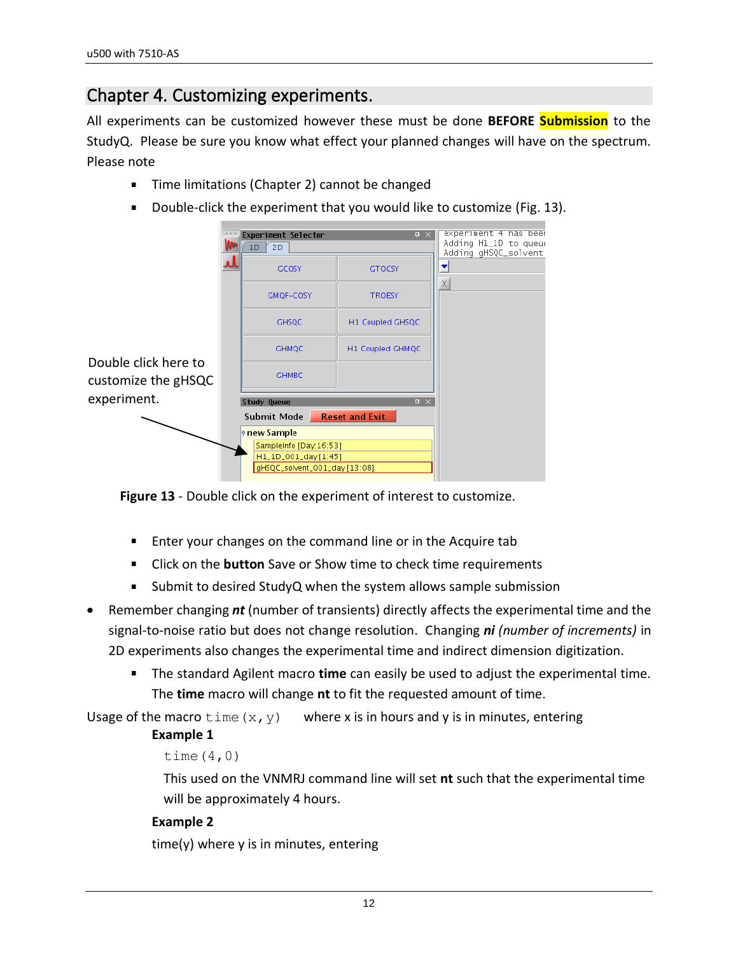### <span id="page-11-0"></span>Chapter 4. Customizing experiments.

All experiments can be customized however these must be done **BEFORE Submission** to the StudyQ. Please be sure you know what effect your planned changes will have on the spectrum. Please note

- $\blacksquare$ Time limitations (Chapter 2) cannot be changed
- Double-click the experiment that you would like to customize (Fig. 13).

|                      | <b>Experiment Selector</b><br>$1D \mid 2D$<br>GCOSY<br>GMQF-COSY                                        | $\Box$<br><b>GTOCSY</b><br><b>TROESY</b> | experiment 4 has beer<br>Adding H1_1D to queue<br>Adding gHSQC_solvent<br>X |
|----------------------|---------------------------------------------------------------------------------------------------------|------------------------------------------|-----------------------------------------------------------------------------|
|                      | <b>GHSQC</b>                                                                                            | H1 Coupled GHSQC                         |                                                                             |
| Double click here to | <b>GHMQC</b>                                                                                            | H1 Coupled GHMQC                         |                                                                             |
| customize the gHSQC  | <b>GHMBC</b>                                                                                            |                                          |                                                                             |
| experiment.          | Study Queue                                                                                             | $\sqrt{4}$                               |                                                                             |
|                      | Submit Mode                                                                                             | <b>Reset and Exit</b>                    |                                                                             |
|                      | <b>P</b> new Sample<br>SampleInfo [Day: 16:53]<br>H1_1D_001_day [1:45]<br>gHSQC_solvent_001_day [13:08] |                                          |                                                                             |

**Figure 13** - Double click on the experiment of interest to customize.

- **Enter your changes on the command line or in the Acquire tab**
- Click on the **button** Save or Show time to check time requirements
- $\blacksquare$ Submit to desired StudyQ when the system allows sample submission
- Remember changing *nt* (number of transients) directly affects the experimental time and the signal-to-noise ratio but does not change resolution. Changing *ni (number of increments)* in 2D experiments also changes the experimental time and indirect dimension digitization.
	- The standard Agilent macro **time** can easily be used to adjust the experimental time. The **time** macro will change **nt** to fit the requested amount of time.

Usage of the macro  $\tan \omega$  (x, y) where x is in hours and y is in minutes, entering

#### **Example 1**

```
time(4,0)
```
This used on the VNMRJ command line will set **nt** such that the experimental time will be approximately 4 hours.

#### **Example 2**

time(y) where y is in minutes, entering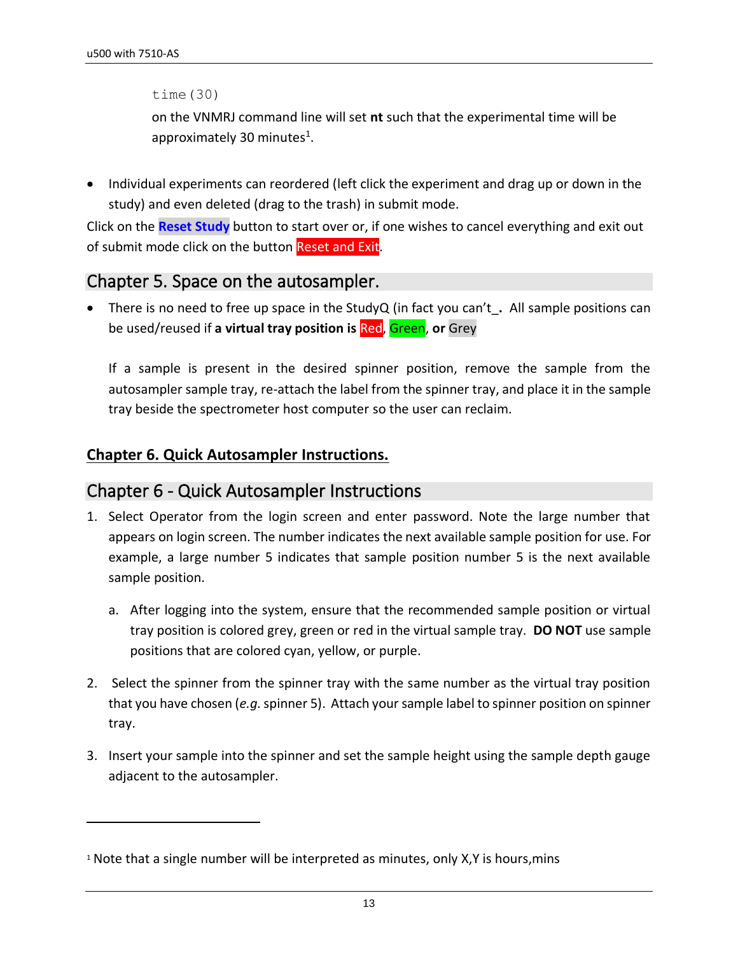time(30)

on the VNMRJ command line will set **nt** such that the experimental time will be approximately 30 minutes<sup>1</sup>.

• Individual experiments can reordered (left click the experiment and drag up or down in the study) and even deleted (drag to the trash) in submit mode.

Click on the **Reset Study** button to start over or, if one wishes to cancel everything and exit out of submit mode click on the button Reset and Exit.

#### <span id="page-12-0"></span>Chapter 5. Space on the autosampler.

• There is no need to free up space in the StudyQ (in fact you can't\_**.** All sample positions can be used/reused if **a virtual tray position is** Red, Green, **or** Grey

If a sample is present in the desired spinner position, remove the sample from the autosampler sample tray, re-attach the label from the spinner tray, and place it in the sample tray beside the spectrometer host computer so the user can reclaim.

#### **Chapter 6. Quick Autosampler Instructions.**

#### <span id="page-12-1"></span>Chapter 6 - Quick Autosampler Instructions

- 1. Select Operator from the login screen and enter password. Note the large number that appears on login screen. The number indicates the next available sample position for use. For example, a large number 5 indicates that sample position number 5 is the next available sample position.
	- a. After logging into the system, ensure that the recommended sample position or virtual tray position is colored grey, green or red in the virtual sample tray. **DO NOT** use sample positions that are colored cyan, yellow, or purple.
- 2. Select the spinner from the spinner tray with the same number as the virtual tray position that you have chosen (*e.g.*spinner 5). Attach your sample label to spinner position on spinner tray.
- 3. Insert your sample into the spinner and set the sample height using the sample depth gauge adjacent to the autosampler.

 $1$  Note that a single number will be interpreted as minutes, only X,Y is hours, mins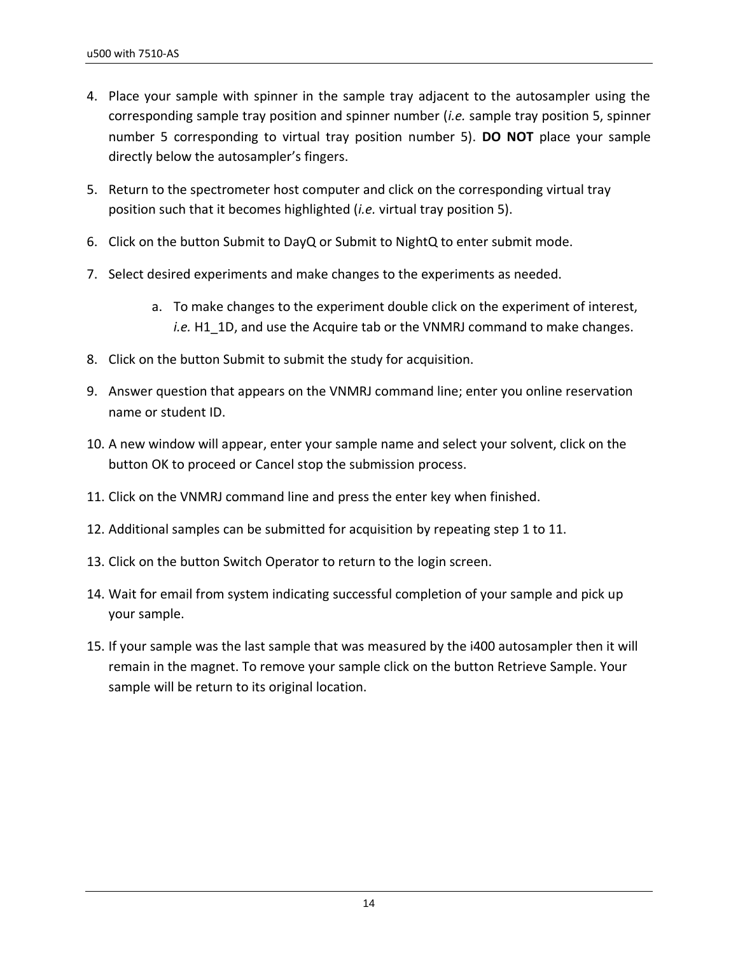- 4. Place your sample with spinner in the sample tray adjacent to the autosampler using the corresponding sample tray position and spinner number (*i.e.* sample tray position 5, spinner number 5 corresponding to virtual tray position number 5). **DO NOT** place your sample directly below the autosampler's fingers.
- 5. Return to the spectrometer host computer and click on the corresponding virtual tray position such that it becomes highlighted (*i.e.* virtual tray position 5).
- 6. Click on the button Submit to DayQ or Submit to NightQ to enter submit mode.
- 7. Select desired experiments and make changes to the experiments as needed.
	- a. To make changes to the experiment double click on the experiment of interest, *i.e.* H1\_1D, and use the Acquire tab or the VNMRJ command to make changes.
- 8. Click on the button Submit to submit the study for acquisition.
- 9. Answer question that appears on the VNMRJ command line; enter you online reservation name or student ID.
- 10. A new window will appear, enter your sample name and select your solvent, click on the button OK to proceed or Cancel stop the submission process.
- 11. Click on the VNMRJ command line and press the enter key when finished.
- 12. Additional samples can be submitted for acquisition by repeating step 1 to 11.
- 13. Click on the button Switch Operator to return to the login screen.
- 14. Wait for email from system indicating successful completion of your sample and pick up your sample.
- 15. If your sample was the last sample that was measured by the i400 autosampler then it will remain in the magnet. To remove your sample click on the button Retrieve Sample. Your sample will be return to its original location.